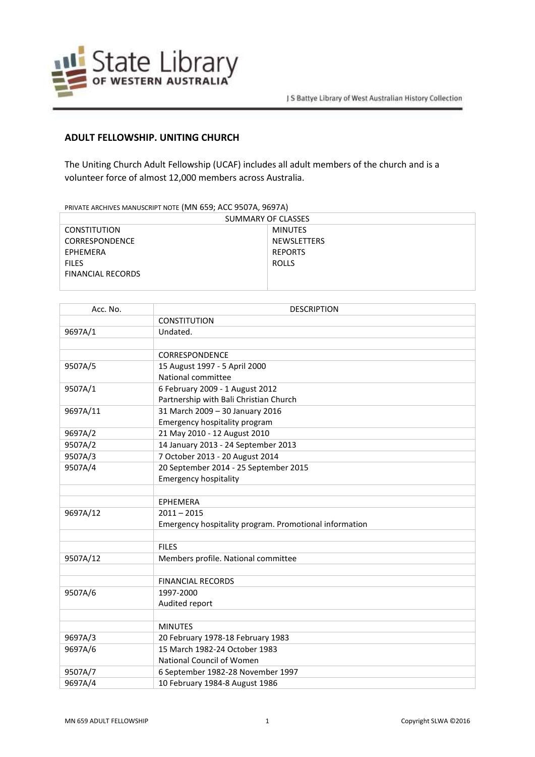

## **ADULT FELLOWSHIP. UNITING CHURCH**

The Uniting Church Adult Fellowship (UCAF) includes all adult members of the church and is a volunteer force of almost 12,000 members across Australia.

PRIVATE ARCHIVES MANUSCRIPT NOTE (MN 659; ACC 9507A, 9697A)

| SUMMARY OF CLASSES       |                |  |
|--------------------------|----------------|--|
| <b>CONSTITUTION</b>      | MINUTES        |  |
| <b>CORRESPONDENCE</b>    | NEWSLETTERS    |  |
| EPHEMERA                 | <b>REPORTS</b> |  |
| <b>FILES</b>             | ROLLS          |  |
| <b>FINANCIAL RECORDS</b> |                |  |
|                          |                |  |

| Acc. No. | <b>DESCRIPTION</b>                                     |
|----------|--------------------------------------------------------|
|          | <b>CONSTITUTION</b>                                    |
| 9697A/1  | Undated.                                               |
|          |                                                        |
|          | <b>CORRESPONDENCE</b>                                  |
| 9507A/5  | 15 August 1997 - 5 April 2000                          |
|          | National committee                                     |
| 9507A/1  | 6 February 2009 - 1 August 2012                        |
|          | Partnership with Bali Christian Church                 |
| 9697A/11 | 31 March 2009 - 30 January 2016                        |
|          | Emergency hospitality program                          |
| 9697A/2  | 21 May 2010 - 12 August 2010                           |
| 9507A/2  | 14 January 2013 - 24 September 2013                    |
| 9507A/3  | 7 October 2013 - 20 August 2014                        |
| 9507A/4  | 20 September 2014 - 25 September 2015                  |
|          | <b>Emergency hospitality</b>                           |
|          |                                                        |
|          | <b>EPHEMERA</b>                                        |
| 9697A/12 | $2011 - 2015$                                          |
|          | Emergency hospitality program. Promotional information |
|          |                                                        |
|          | <b>FILES</b>                                           |
| 9507A/12 | Members profile. National committee                    |
|          |                                                        |
|          | <b>FINANCIAL RECORDS</b>                               |
| 9507A/6  | 1997-2000                                              |
|          | Audited report                                         |
|          |                                                        |
|          | <b>MINUTES</b>                                         |
| 9697A/3  | 20 February 1978-18 February 1983                      |
| 9697A/6  | 15 March 1982-24 October 1983                          |
|          | National Council of Women                              |
| 9507A/7  | 6 September 1982-28 November 1997                      |
| 9697A/4  | 10 February 1984-8 August 1986                         |